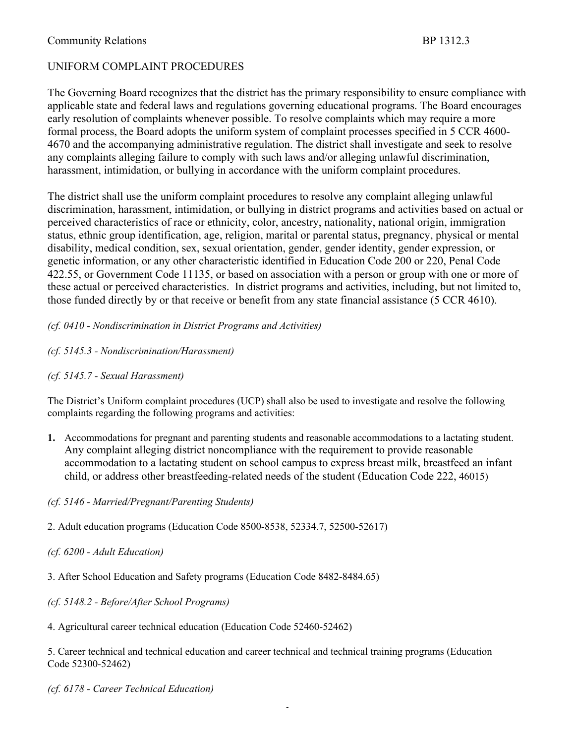# UNIFORM COMPLAINT PROCEDURES

The Governing Board recognizes that the district has the primary responsibility to ensure compliance with applicable state and federal laws and regulations governing educational programs. The Board encourages early resolution of complaints whenever possible. To resolve complaints which may require a more formal process, the Board adopts the uniform system of complaint processes specified in 5 CCR 4600- 4670 and the accompanying administrative regulation. The district shall investigate and seek to resolve any complaints alleging failure to comply with such laws and/or alleging unlawful discrimination, harassment, intimidation, or bullying in accordance with the uniform complaint procedures.

The district shall use the uniform complaint procedures to resolve any complaint alleging unlawful discrimination, harassment, intimidation, or bullying in district programs and activities based on actual or perceived characteristics of race or ethnicity, color, ancestry, nationality, national origin, immigration status, ethnic group identification, age, religion, marital or parental status, pregnancy, physical or mental disability, medical condition, sex, sexual orientation, gender, gender identity, gender expression, or genetic information, or any other characteristic identified in Education Code 200 or 220, Penal Code 422.55, or Government Code 11135, or based on association with a person or group with one or more of these actual or perceived characteristics. In district programs and activities, including, but not limited to, those funded directly by or that receive or benefit from any state financial assistance (5 CCR 4610).

### *(cf. 0410 - Nondiscrimination in District Programs and Activities)*

### *(cf. 5145.3 - Nondiscrimination/Harassment)*

### *(cf. 5145.7 - Sexual Harassment)*

The District's Uniform complaint procedures (UCP) shall also be used to investigate and resolve the following complaints regarding the following programs and activities:

**1.** Accommodations for pregnant and parenting students and reasonable accommodations to a lactating student. Any complaint alleging district noncompliance with the requirement to provide reasonable accommodation to a lactating student on school campus to express breast milk, breastfeed an infant child, or address other breastfeeding-related needs of the student (Education Code 222, 46015)

### *(cf. 5146 - Married/Pregnant/Parenting Students)*

2. Adult education programs (Education Code 8500-8538, 52334.7, 52500-52617)

### *(cf. 6200 - Adult Education)*

3. After School Education and Safety programs (Education Code 8482-8484.65)

*(cf. 5148.2 - Before/After School Programs)*

4. Agricultural career technical education (Education Code 52460-52462)

5. Career technical and technical education and career technical and technical training programs (Education Code 52300-52462)

*(cf. 6178 - Career Technical Education)*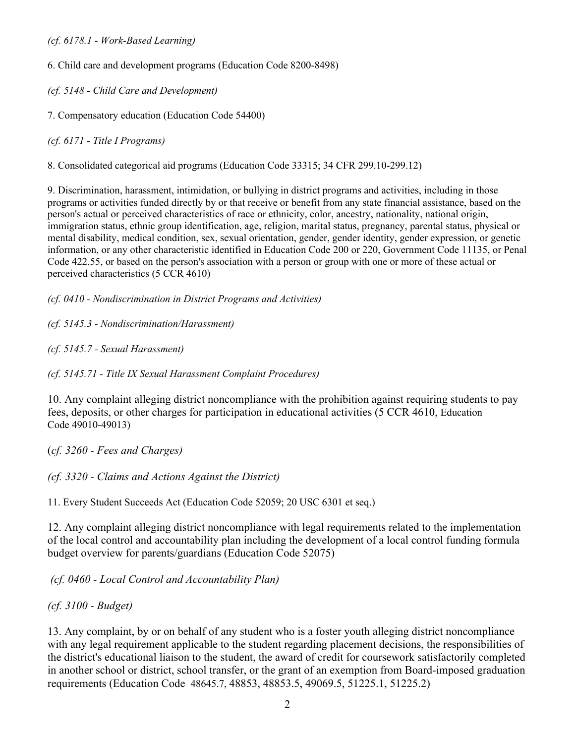6. Child care and development programs (Education Code 8200-8498)

*(cf. 5148 - Child Care and Development)*

7. Compensatory education (Education Code 54400)

*(cf. 6171 - Title I Programs)*

8. Consolidated categorical aid programs (Education Code 33315; 34 CFR 299.10-299.12)

9. Discrimination, harassment, intimidation, or bullying in district programs and activities, including in those programs or activities funded directly by or that receive or benefit from any state financial assistance, based on the person's actual or perceived characteristics of race or ethnicity, color, ancestry, nationality, national origin, immigration status, ethnic group identification, age, religion, marital status, pregnancy, parental status, physical or mental disability, medical condition, sex, sexual orientation, gender, gender identity, gender expression, or genetic information, or any other characteristic identified in Education Code 200 or 220, Government Code 11135, or Penal Code 422.55, or based on the person's association with a person or group with one or more of these actual or perceived characteristics (5 CCR 4610)

*(cf. 0410 - Nondiscrimination in District Programs and Activities)*

*(cf. 5145.3 - Nondiscrimination/Harassment)*

*(cf. 5145.7 - Sexual Harassment)*

*(cf. 5145.71 - Title IX Sexual Harassment Complaint Procedures)*

10. Any complaint alleging district noncompliance with the prohibition against requiring students to pay fees, deposits, or other charges for participation in educational activities (5 CCR 4610, Education Code 49010-49013)

(*cf. 3260 - Fees and Charges)*

*(cf. 3320 - Claims and Actions Against the District)*

11. Every Student Succeeds Act (Education Code 52059; 20 USC 6301 et seq.)

12. Any complaint alleging district noncompliance with legal requirements related to the implementation of the local control and accountability plan including the development of a local control funding formula budget overview for parents/guardians (Education Code 52075)

*(cf. 0460 - Local Control and Accountability Plan)*

*(cf. 3100 - Budget)*

13. Any complaint, by or on behalf of any student who is a foster youth alleging district noncompliance with any legal requirement applicable to the student regarding placement decisions, the responsibilities of the district's educational liaison to the student, the award of credit for coursework satisfactorily completed in another school or district, school transfer, or the grant of an exemption from Board-imposed graduation requirements (Education Code 48645.7, 48853, 48853.5, 49069.5, 51225.1, 51225.2)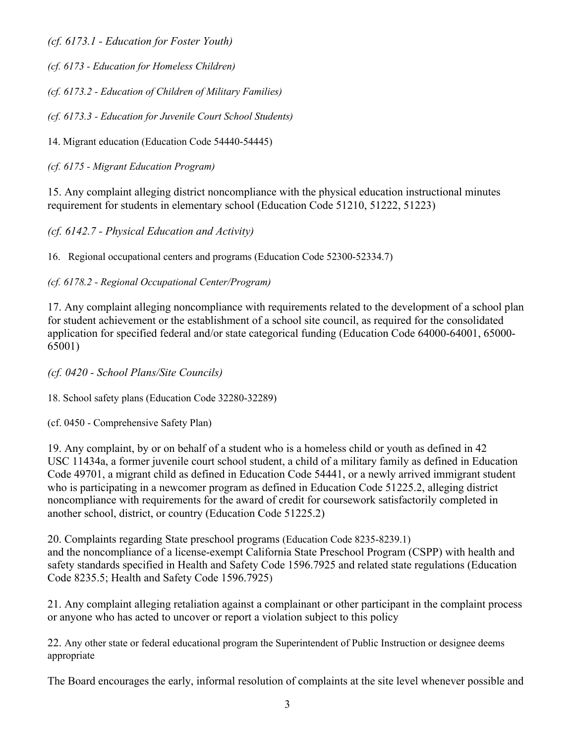*(cf. 6173.1 - Education for Foster Youth)*

*(cf. 6173 - Education for Homeless Children)*

*(cf. 6173.2 - Education of Children of Military Families)*

*(cf. 6173.3 - Education for Juvenile Court School Students)*

14. Migrant education (Education Code 54440-54445)

*(cf. 6175 - Migrant Education Program)*

15. Any complaint alleging district noncompliance with the physical education instructional minutes requirement for students in elementary school (Education Code 51210, 51222, 51223)

*(cf. 6142.7 - Physical Education and Activity)*

16. Regional occupational centers and programs (Education Code 52300-52334.7)

*(cf. 6178.2 - Regional Occupational Center/Program)*

17. Any complaint alleging noncompliance with requirements related to the development of a school plan for student achievement or the establishment of a school site council, as required for the consolidated application for specified federal and/or state categorical funding (Education Code 64000-64001, 65000- 65001)

*(cf. 0420 - School Plans/Site Councils)*

18. School safety plans (Education Code 32280-32289)

(cf. 0450 - Comprehensive Safety Plan)

19. Any complaint, by or on behalf of a student who is a homeless child or youth as defined in 42 USC 11434a, a former juvenile court school student, a child of a military family as defined in Education Code 49701, a migrant child as defined in Education Code 54441, or a newly arrived immigrant student who is participating in a newcomer program as defined in Education Code 51225.2, alleging district noncompliance with requirements for the award of credit for coursework satisfactorily completed in another school, district, or country (Education Code 51225.2)

20. Complaints regarding State preschool programs (Education Code 8235-8239.1) and the noncompliance of a license-exempt California State Preschool Program (CSPP) with health and safety standards specified in Health and Safety Code 1596.7925 and related state regulations (Education Code 8235.5; Health and Safety Code 1596.7925)

21. Any complaint alleging retaliation against a complainant or other participant in the complaint process or anyone who has acted to uncover or report a violation subject to this policy

22. Any other state or federal educational program the Superintendent of Public Instruction or designee deems appropriate

The Board encourages the early, informal resolution of complaints at the site level whenever possible and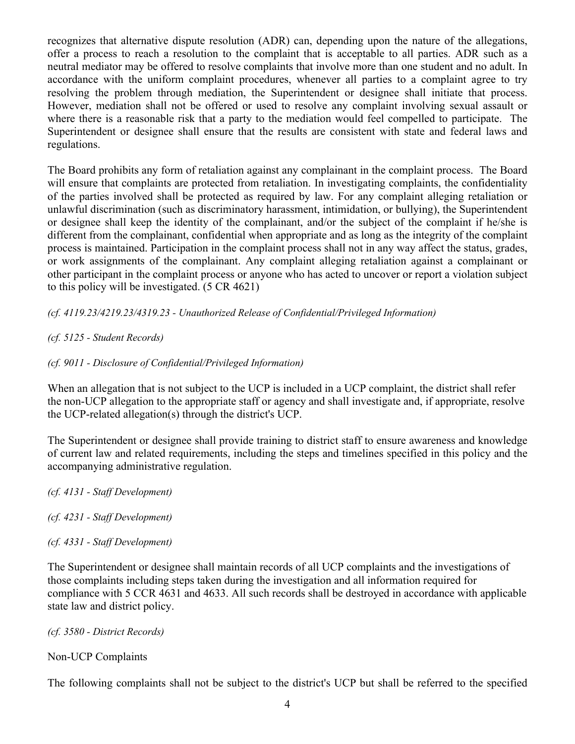recognizes that alternative dispute resolution (ADR) can, depending upon the nature of the allegations, offer a process to reach a resolution to the complaint that is acceptable to all parties. ADR such as a neutral mediator may be offered to resolve complaints that involve more than one student and no adult. In accordance with the uniform complaint procedures, whenever all parties to a complaint agree to try resolving the problem through mediation, the Superintendent or designee shall initiate that process. However, mediation shall not be offered or used to resolve any complaint involving sexual assault or where there is a reasonable risk that a party to the mediation would feel compelled to participate. The Superintendent or designee shall ensure that the results are consistent with state and federal laws and regulations.

The Board prohibits any form of retaliation against any complainant in the complaint process. The Board will ensure that complaints are protected from retaliation. In investigating complaints, the confidentiality of the parties involved shall be protected as required by law. For any complaint alleging retaliation or unlawful discrimination (such as discriminatory harassment, intimidation, or bullying), the Superintendent or designee shall keep the identity of the complainant, and/or the subject of the complaint if he/she is different from the complainant, confidential when appropriate and as long as the integrity of the complaint process is maintained. Participation in the complaint process shall not in any way affect the status, grades, or work assignments of the complainant. Any complaint alleging retaliation against a complainant or other participant in the complaint process or anyone who has acted to uncover or report a violation subject to this policy will be investigated. (5 CR 4621)

*(cf. 4119.23/4219.23/4319.23 - Unauthorized Release of Confidential/Privileged Information)*

- *(cf. 5125 - Student Records)*
- *(cf. 9011 - Disclosure of Confidential/Privileged Information)*

When an allegation that is not subject to the UCP is included in a UCP complaint, the district shall refer the non-UCP allegation to the appropriate staff or agency and shall investigate and, if appropriate, resolve the UCP-related allegation(s) through the district's UCP.

The Superintendent or designee shall provide training to district staff to ensure awareness and knowledge of current law and related requirements, including the steps and timelines specified in this policy and the accompanying administrative regulation.

- *(cf. 4131 - Staff Development)*
- *(cf. 4231 - Staff Development)*
- *(cf. 4331 - Staff Development)*

The Superintendent or designee shall maintain records of all UCP complaints and the investigations of those complaints including steps taken during the investigation and all information required for compliance with 5 CCR 4631 and 4633. All such records shall be destroyed in accordance with applicable state law and district policy.

*(cf. 3580 - District Records)*

Non-UCP Complaints

The following complaints shall not be subject to the district's UCP but shall be referred to the specified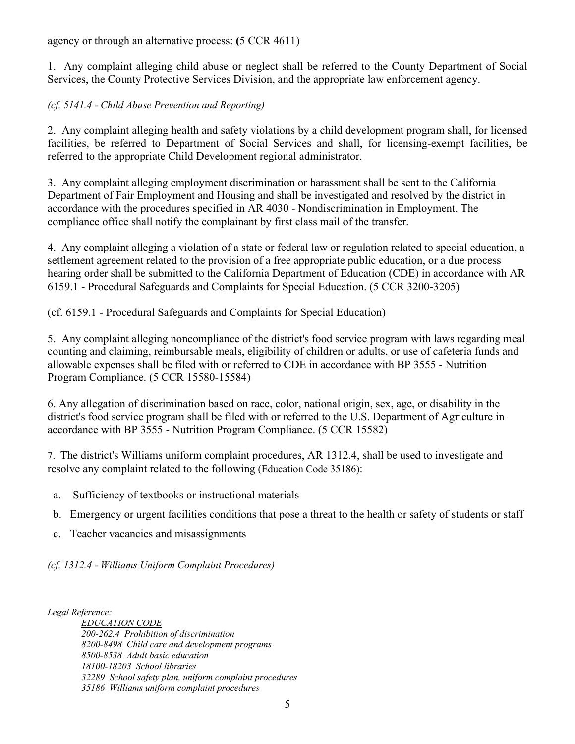agency or through an alternative process: **(**5 CCR 4611)

1. Any complaint alleging child abuse or neglect shall be referred to the County Department of Social Services, the County Protective Services Division, and the appropriate law enforcement agency.

## *(cf. 5141.4 - Child Abuse Prevention and Reporting)*

2. Any complaint alleging health and safety violations by a child development program shall, for licensed facilities, be referred to Department of Social Services and shall, for licensing-exempt facilities, be referred to the appropriate Child Development regional administrator.

3. Any complaint alleging employment discrimination or harassment shall be sent to the California Department of Fair Employment and Housing and shall be investigated and resolved by the district in accordance with the procedures specified in AR 4030 - Nondiscrimination in Employment. The compliance office shall notify the complainant by first class mail of the transfer.

4. Any complaint alleging a violation of a state or federal law or regulation related to special education, a settlement agreement related to the provision of a free appropriate public education, or a due process hearing order shall be submitted to the California Department of Education (CDE) in accordance with AR 6159.1 - Procedural Safeguards and Complaints for Special Education. (5 CCR 3200-3205)

(cf. 6159.1 - Procedural Safeguards and Complaints for Special Education)

5. Any complaint alleging noncompliance of the district's food service program with laws regarding meal counting and claiming, reimbursable meals, eligibility of children or adults, or use of cafeteria funds and allowable expenses shall be filed with or referred to CDE in accordance with BP 3555 - Nutrition Program Compliance. (5 CCR 15580-15584)

6. Any allegation of discrimination based on race, color, national origin, sex, age, or disability in the district's food service program shall be filed with or referred to the U.S. Department of Agriculture in accordance with BP 3555 - Nutrition Program Compliance. (5 CCR 15582)

7. The district's Williams uniform complaint procedures, AR 1312.4, shall be used to investigate and resolve any complaint related to the following (Education Code 35186):

- a. Sufficiency of textbooks or instructional materials
- b. Emergency or urgent facilities conditions that pose a threat to the health or safety of students or staff
- c. Teacher vacancies and misassignments

*(cf. 1312.4 - Williams Uniform Complaint Procedures)*

*Legal Reference:*

*EDUCATION CODE 200-262.4 Prohibition of discrimination 8200-8498 Child care and development programs 8500-8538 Adult basic education 18100-18203 School libraries 32289 School safety plan, uniform complaint procedures 35186 Williams uniform complaint procedures*